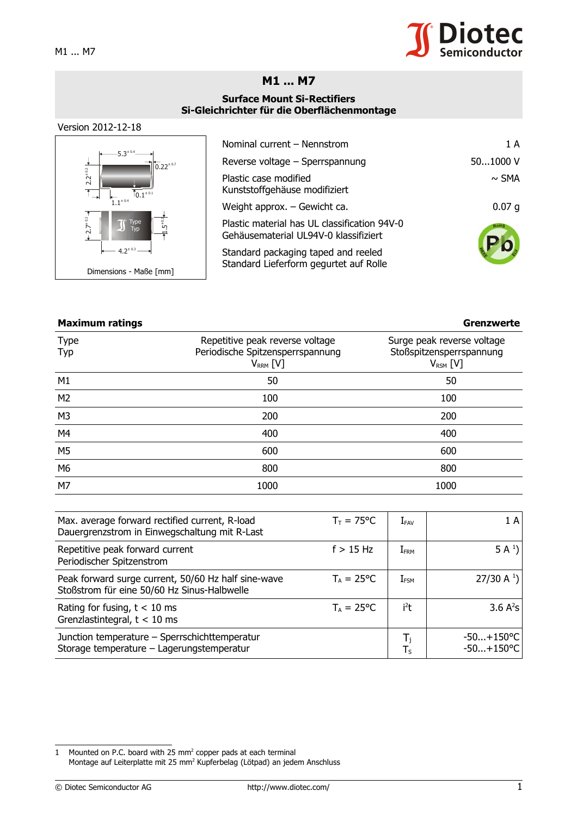

## **M1 ... M7**

## **Surface Mount Si-Rectifiers Si-Gleichrichter für die Oberflächenmontage**

## Version 2012-12-18



| Nominal current - Nennstrom                                                           | 1 A               |
|---------------------------------------------------------------------------------------|-------------------|
| Reverse voltage - Sperrspannung                                                       | 501000 V          |
| Plastic case modified<br>Kunststoffgehäuse modifiziert                                | $\sim$ SMA        |
| Weight approx. - Gewicht ca.                                                          | 0.07 <sub>q</sub> |
| Plastic material has UL classification 94V-0<br>Gehäusematerial UL94V-0 klassifiziert | ROHS              |
| Standard packaging taped and reeled<br>Standard Lieferform gegurtet auf Rolle         |                   |

## **Maximum ratings Grenzwerte**

Type Typ Repetitive peak reverse voltage Periodische Spitzensperrspannung  $V_{RRM}$  [V] Surge peak reverse voltage Stoßspitzensperrspannung  $V_{RSM}$  [V]  $M1$  50 50 50  $M2$  100 100 M3 200 200  $M4$  and  $M400$  and  $M400$  and  $M400$ M5 600 600 M6 800 800  $M$ 7 1000  $1000$ 

| Max. average forward rectified current, R-load<br>Dauergrenzstrom in Einwegschaltung mit R-Last    | $T_T = 75^{\circ}C$ | $\mathrm{I}_{\texttt{FAV}}$ | 1A                           |
|----------------------------------------------------------------------------------------------------|---------------------|-----------------------------|------------------------------|
| Repetitive peak forward current<br>Periodischer Spitzenstrom                                       | $f > 15$ Hz         | $\rm I_{FRM}$               | 5 A <sup>1</sup>             |
| Peak forward surge current, 50/60 Hz half sine-wave<br>Stoßstrom für eine 50/60 Hz Sinus-Halbwelle | $T_A = 25^{\circ}C$ | $I_{\mathsf{FSM}}$          | 27/30 A $^{1}$ )             |
| Rating for fusing, $t < 10$ ms<br>Grenzlastintegral, $t < 10$ ms                                   | $T_A = 25^{\circ}C$ | $i^2t$                      | 3.6 $A^2S$                   |
| Junction temperature - Sperrschichttemperatur<br>Storage temperature - Lagerungstemperatur         |                     | $T_{\rm S}$                 | $-50+150$ °C<br>$-50+150$ °C |

<span id="page-0-0"></span>1 Mounted on P.C. board with 25  $mm<sup>2</sup>$  copper pads at each terminal Montage auf Leiterplatte mit 25 mm<sup>2</sup> Kupferbelag (Lötpad) an jedem Anschluss